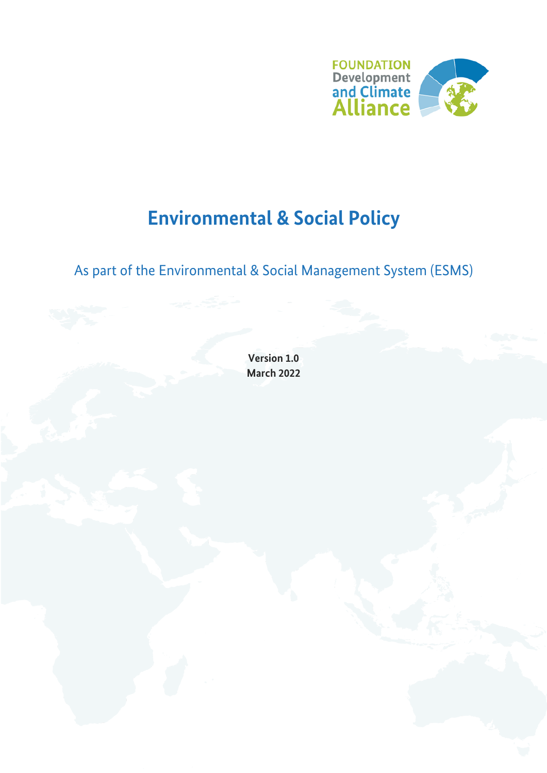

# **Environmental & Social Policy**

## As part of the Environmental & Social Management System (ESMS)

**Version 1.0 March 2022**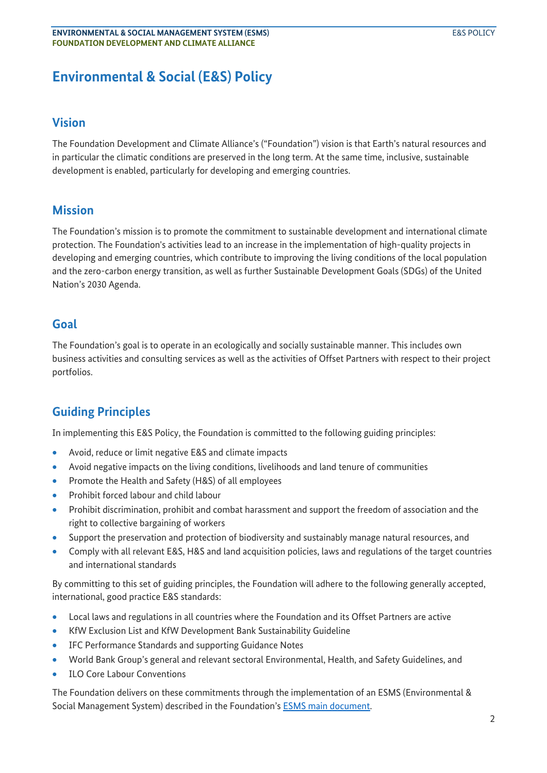### **Environmental & Social (E&S) Policy**

#### **Vision**

The Foundation Development and Climate Alliance's ("Foundation") vision is that Earth's natural resources and in particular the climatic conditions are preserved in the long term. At the same time, inclusive, sustainable development is enabled, particularly for developing and emerging countries.

#### **Mission**

The Foundation's mission is to promote the commitment to sustainable development and international climate protection. The Foundation's activities lead to an increase in the implementation of high-quality projects in developing and emerging countries, which contribute to improving the living conditions of the local population and the zero-carbon energy transition, as well as further Sustainable Development Goals (SDGs) of the United Nation's 2030 Agenda.

#### **Goal**

The Foundation's goal is to operate in an ecologically and socially sustainable manner. This includes own business activities and consulting services as well as the activities of Offset Partners with respect to their project portfolios.

### **Guiding Principles**

In implementing this E&S Policy, the Foundation is committed to the following guiding principles:

- Avoid, reduce or limit negative E&S and climate impacts
- Avoid negative impacts on the living conditions, livelihoods and land tenure of communities
- Promote the Health and Safety (H&S) of all employees
- Prohibit forced labour and child labour
- Prohibit discrimination, prohibit and combat harassment and support the freedom of association and the right to collective bargaining of workers
- Support the preservation and protection of biodiversity and sustainably manage natural resources, and
- Comply with all relevant E&S, H&S and land acquisition policies, laws and regulations of the target countries and international standards

By committing to this set of guiding principles, the Foundation will adhere to the following generally accepted, international, good practice E&S standards:

- Local laws and regulations in all countries where the Foundation and its Offset Partners are active
- KfW Exclusion List and KfW Development Bank Sustainability Guideline
- IFC Performance Standards and supporting Guidance Notes
- World Bank Group's general and relevant sectoral Environmental, Health, and Safety Guidelines, and
- ILO Core Labour Conventions

The Foundation delivers on these commitments through the implementation of an ESMS (Environmental & Social Management System) described in the Foundation's ESMS main document.